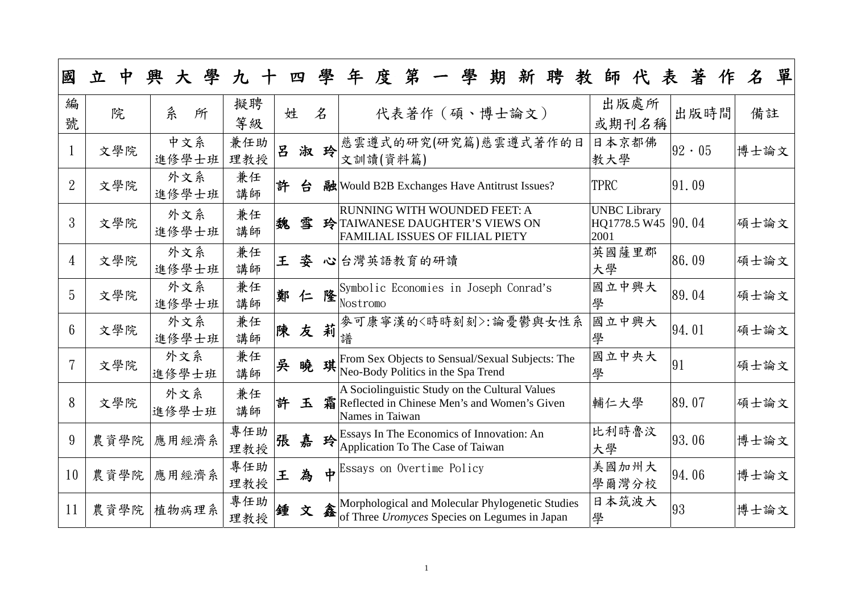| 國               | 立<br>ዋ | 學<br>興       | 九          |   | 四  | 學           | 第<br>度<br>聘<br>期<br>年<br>師<br>新<br>表<br>教                                                                                                                      | 著              | 單<br>$\pmb{\mathcal{Z}}$ |
|-----------------|--------|--------------|------------|---|----|-------------|----------------------------------------------------------------------------------------------------------------------------------------------------------------|----------------|--------------------------|
| 編<br>號          | 院      | 糸<br>所       | 擬聘<br>等級   | 姓 |    | 名           | 出版處所<br>代表著作 (碩、博士論文)<br>或期刊名稱                                                                                                                                 | 出版時間           | 備註                       |
|                 | 文學院    | 中文系<br>進修學士班 | 兼任助<br>理教授 | 吕 |    | 淑玲          | 日本京都佛<br>慈雲遵式的研究(研究篇)慈雲遵式著作的日<br>教大學<br>文訓讀(資料篇)                                                                                                               | $ 92 \cdot 05$ | 博士論文                     |
| $\overline{2}$  | 文學院    | 外文系<br>進修學士班 | 兼任<br>講師   | 許 | 台  |             | <b>TPRC</b><br>融 Would B2B Exchanges Have Antitrust Issues?                                                                                                    | 91.09          |                          |
| 3               | 文學院    | 外文系<br>進修學士班 | 兼任<br>講師   | 魏 | 雪  |             | RUNNING WITH WOUNDED FEET: A<br><b>UNBC Library</b><br>HQ1778.5 W45 90.04<br>玲 TAIWANESE DAUGHTER'S VIEWS ON<br><b>FAMILIAL ISSUES OF FILIAL PIETY</b><br>2001 |                | 碩士論文                     |
| $\overline{4}$  | 文學院    | 外文系<br>進修學士班 | 兼任<br>講師   | 王 | 姿  |             | 英國薩里郡<br>心台灣英語教育的研讀<br>大學                                                                                                                                      | 86.09          | 碩士論文                     |
| 5               | 文學院    | 外文系<br>進修學士班 | 兼任<br>講師   |   | 鄭仁 | 隆           | 國立中興大<br>Symbolic Economies in Joseph Conrad's<br>學<br>Nostromo                                                                                                | 89.04          | 碩士論文                     |
| $6\overline{6}$ | 文學院    | 外文系<br>進修學士班 | 兼任<br>講師   |   | 陳友 | 莉           | 國立中興大<br> 麥可康寧漢的〈時時刻刻〉:論憂鬱與女性系<br>學                                                                                                                            | 94.01          | 碩士論文                     |
|                 | 文學院    | 外文系<br>進修學士班 | 兼任<br>講師   | 吳 | 暁  | 琪           | 國立中央大<br>From Sex Objects to Sensual/Sexual Subjects: The<br>91<br>Neo-Body Politics in the Spa Trend<br>學                                                     |                | 碩士論文                     |
| 8               | 文學院    | 外文系<br>進修學士班 | 兼任<br>講師   | 許 | 玉  | 霜           | A Sociolinguistic Study on the Cultural Values<br>Reflected in Chinese Men's and Women's Given<br>輔仁大學<br>Names in Taiwan                                      | 89.07          | 碩士論文                     |
| 9               | 農資學院   | 應用經濟系        | 專任助<br>理教授 | 張 | 嘉  |             | 比利時魯汶<br>$\bigoplus_{\Delta \text{ real-occ}}$ Essays In The Economics of Innovation: An<br>Application To The Case of Taiwan<br>大學                            | 93.06          | 博士論文                     |
| 10              | 農資學院   | 應用經濟系        | 專任助<br>理教授 | 王 | 為  | $\bigoplus$ | 美國加州大<br>Essays on Overtime Policy<br>學爾灣分校                                                                                                                    | 94.06          | 博士論文                     |
| <sup>11</sup>   | 農資學院   | 植物病理系        | 專任助<br>理教授 | 鍾 | 文  | 鑫           | 日本筑波大<br>Morphological and Molecular Phylogenetic Studies<br>93<br>of Three Uromyces Species on Legumes in Japan<br>學                                          |                | 博士論文                     |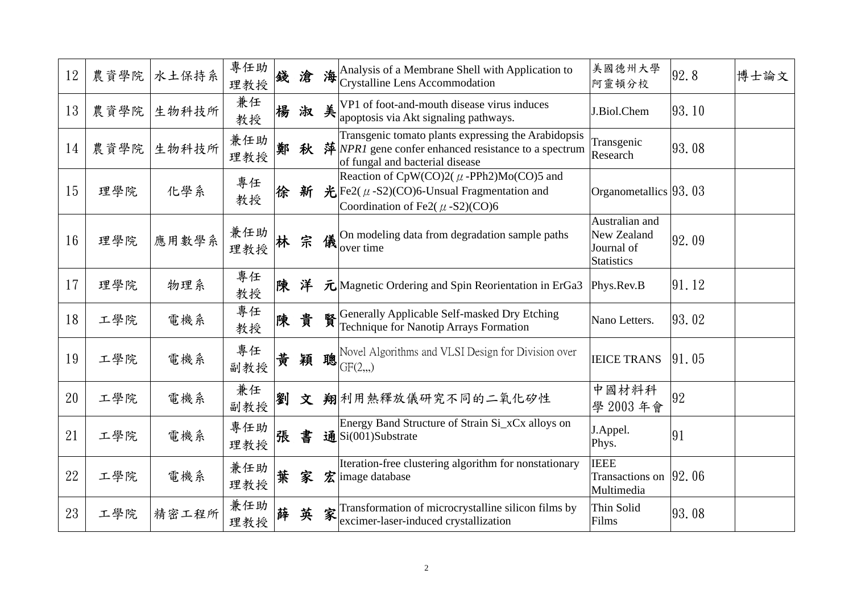| 12 | 農資學院 | 水土保持系 | 專任助<br>理教授             | 錢 | 滄 |   | 海 Analysis of a Membrane Shell with Application to<br>Crystalline Lens Accommodation                                                                         | 美國德州大學<br>阿靈頓分校                                                  | 92.8   | 博士論文 |
|----|------|-------|------------------------|---|---|---|--------------------------------------------------------------------------------------------------------------------------------------------------------------|------------------------------------------------------------------|--------|------|
| 13 | 農資學院 | 生物科技所 | 兼任<br>教授               | 楊 | 淑 | 美 | VP1 of foot-and-mouth disease virus induces<br>apoptosis via Akt signaling pathways.                                                                         | J.Biol.Chem                                                      | 93, 10 |      |
| 14 | 農資學院 | 生物科技所 | 兼任助<br>理教授             | 鄭 | 秋 |   | Transgenic tomato plants expressing the Arabidopsis<br>萍 $\vert NPRI \vert$ gene confer enhanced resistance to a spectrum<br>of fungal and bacterial disease | Transgenic<br>Research                                           | 93, 08 |      |
| 15 | 理學院  | 化學系   | 專任<br>教授               | 徐 | 新 |   | Reaction of CpW(CO)2( $\mu$ -PPh2)Mo(CO)5 and<br>$\mathcal{H}$ Fe2( $\mu$ -S2)(CO)6-Unsual Fragmentation and<br>Coordination of Fe2( $\mu$ -S2)(CO)6         | Organometallics $ 93, 03$                                        |        |      |
| 16 | 理學院  | 應用數學系 | 兼任助<br>理教授             |   | 宗 | 儀 | On modeling data from degradation sample paths<br>over time                                                                                                  | Australian and<br>New Zealand<br>Journal of<br><b>Statistics</b> | 92.09  |      |
| 17 | 理學院  | 物理系   | 專任<br>教授               | 陳 | 洋 |   | $\bar{\mathcal{F}}$ Magnetic Ordering and Spin Reorientation in ErGa3                                                                                        | Phys.Rev.B                                                       | 91.12  |      |
| 18 | 工學院  | 電機系   | 專任<br>教授               | 陳 | 貴 |   | Generally Applicable Self-masked Dry Etching<br>Technique for Nanotip Arrays Formation                                                                       | Nano Letters.                                                    | 93, 02 |      |
| 19 | 工學院  | 電機系   | 專任<br>副教授              | 黄 | 穎 | 聰 | Novel Algorithms and VLSI Design for Division over<br>GF(2, 0)                                                                                               | <b>IEICE TRANS</b>                                               | 91.05  |      |
| 20 | 工學院  | 電機系   | 兼任<br>副教授              | 劉 | 文 |   | 翔利用熱釋放儀研究不同的二氧化矽性                                                                                                                                            | 中國材料科<br>學 2003年會                                                | 92     |      |
| 21 | 工學院  | 電機系   | __<br>- 專任助   張<br>理教授 |   | 書 |   | Energy Band Structure of Strain Si_xCx alloys on<br>$\mathbf{\mathbf{\ddot{d}}}\mathbf{Si}$ (001)Substrate                                                   | J.Appel.<br>Phys.                                                | 91     |      |
| 22 | 工學院  | 電機系   | 兼任助<br>理教授             | 葉 | 家 |   | Iteration-free clustering algorithm for nonstationary<br>$\hat{\mathbf{\mathcal{Z}}}$ image database                                                         | <b>IEEE</b><br>Transactions on $ 92, 06$<br>Multimedia           |        |      |
| 23 | 工學院  | 精密工程所 | 兼任助<br>理教授             | 薛 | 英 | 家 | Transformation of microcrystalline silicon films by<br>excimer-laser-induced crystallization                                                                 | Thin Solid<br>Films                                              | 93,08  |      |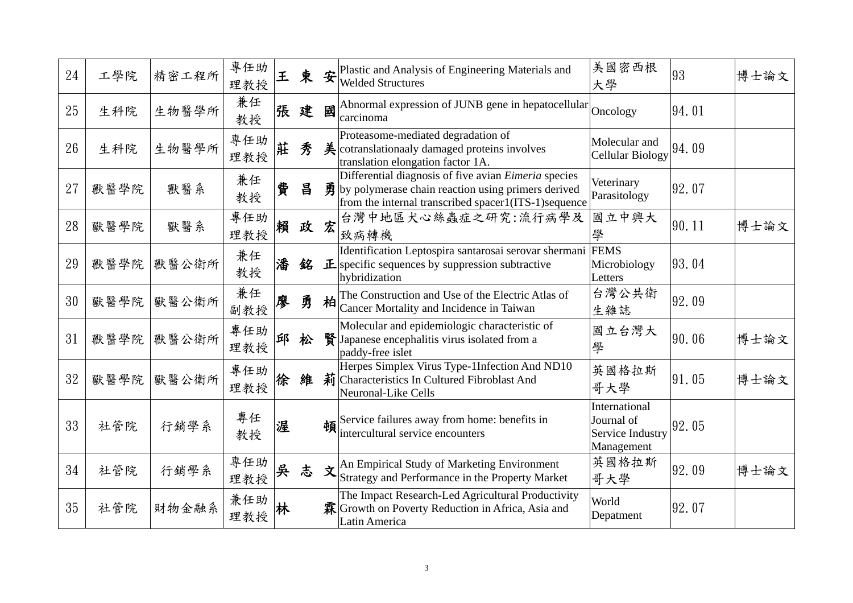| 24 | 工學院  | 精密工程所 | 專任助<br>理教授 | 王 | 東 |   | $\mathbf{\hat{\mathcal{F}}}$ Plastic and Analysis of Engineering Materials and<br><b>Welded Structures</b>                                                                                   | 美國密西根<br>大學                                                          | 93    | 博士論文 |
|----|------|-------|------------|---|---|---|----------------------------------------------------------------------------------------------------------------------------------------------------------------------------------------------|----------------------------------------------------------------------|-------|------|
| 25 | 生科院  | 生物醫學所 | 兼任<br>教授   | 張 | 建 | 國 | Abnormal expression of JUNB gene in hepatocellular $_{\text{Onceology}}$<br>carcinoma                                                                                                        |                                                                      | 94.01 |      |
| 26 | 生科院  | 生物醫學所 | 專任助<br>理教授 | 莊 | 秀 |   | Proteasome-mediated degradation of<br>$\frac{1}{2}$ cotranslationaaly damaged proteins involves<br>translation elongation factor 1A.                                                         | Molecular and<br><b>Cellular Biology</b>                             | 94.09 |      |
| 27 | 獸醫學院 | 獸醫系   | 兼任<br>教授   | 費 | 昌 |   | Differential diagnosis of five avian <i>Eimeria</i> species<br>$\vec{\mathbf{B}}$ by polymerase chain reaction using primers derived<br>from the internal transcribed spacer1(ITS-1)sequence | Veterinary<br>Parasitology                                           | 92.07 |      |
| 28 | 獸醫學院 | 獸醫系   | 專任助<br>理教授 | 賴 | 政 | 宏 | 台灣中地區犬心絲蟲症之研究:流行病學及<br>致病轉機                                                                                                                                                                  | 國立中興大                                                                | 90.11 | 博士論文 |
| 29 | 獸醫學院 | 獸醫公衛所 | 兼任<br>教授   | 潘 | 銘 |   | Identification Leptospira santarosai serovar shermani FEMS<br>$\mathbf{E}$ specific sequences by suppression subtractive<br>hybridization                                                    | Microbiology<br>Letters                                              | 93.04 |      |
| 30 | 獸醫學院 | 獸醫公衛所 | 兼任<br>副教授  |   | 勇 | 柏 | The Construction and Use of the Electric Atlas of<br>Cancer Mortality and Incidence in Taiwan                                                                                                | 台灣公共衛<br>生雜誌                                                         | 92.09 |      |
| 31 | 獸醫學院 | 獸醫公衛所 | 專任助<br>理教授 | 邱 | 松 |   | Molecular and epidemiologic characteristic of<br>腎 Japanese encephalitis virus isolated from a<br>paddy-free islet                                                                           | 國立台灣大<br>學                                                           | 90.06 | 博士論文 |
| 32 | 獸醫學院 | 獸醫公衛所 | 專任助<br>理教授 |   | 維 |   | Herpes Simplex Virus Type-1Infection And ND10<br>莉 Characteristics In Cultured Fibroblast And<br>Neuronal-Like Cells                                                                         | 英國格拉斯<br>哥大學                                                         | 91.05 | 博士論文 |
| 33 | 社管院  | 行銷學系  | 專任<br>教授   | 渥 |   |   | $\frac{1}{4}$ Service failures away from home: benefits in<br>$\mathbf{z}$ intercultural service encounters                                                                                  | International<br>Journal of<br><b>Service Industry</b><br>Management | 92.05 |      |
| 34 | 社管院  | 行銷學系  | 專任助<br>理教授 | 吳 | 志 | 文 | An Empirical Study of Marketing Environment<br>Strategy and Performance in the Property Market                                                                                               | 英國格拉斯<br>哥大學                                                         | 92.09 | 博士論文 |
| 35 | 社管院  | 財物金融系 | 兼任助<br>理教授 |   |   |   | The Impact Research-Led Agricultural Productivity<br>霖 Growth on Poverty Reduction in Africa, Asia and<br>Latin America                                                                      | World<br>Depatment                                                   | 92.07 |      |